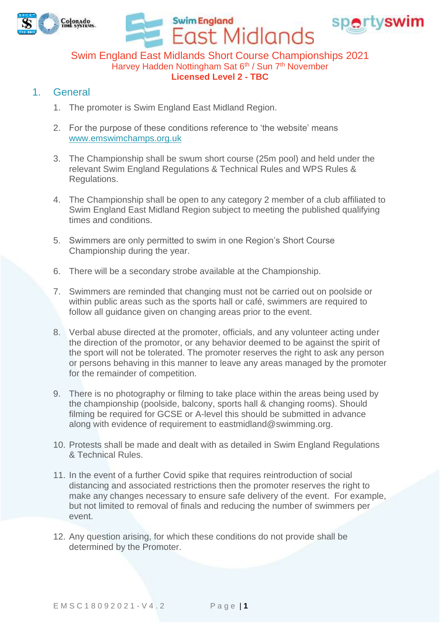

Swim England East Midlands Short Course Championships 2021 Harvey Hadden Nottingham Sat 6<sup>th</sup> / Sun 7<sup>th</sup> November **Licensed Level 2 - TBC**

East Midlands

**Swim England** 

spertyswim

## 1. General

- 1. The promoter is Swim England East Midland Region.
- 2. For the purpose of these conditions reference to 'the website' means [www.emswimchamps.org.uk](https://www.emswimchamps.org.uk/)
- 3. The Championship shall be swum short course (25m pool) and held under the relevant Swim England Regulations & Technical Rules and WPS Rules & Regulations.
- 4. The Championship shall be open to any category 2 member of a club affiliated to Swim England East Midland Region subject to meeting the published qualifying times and conditions.
- 5. Swimmers are only permitted to swim in one Region's Short Course Championship during the year.
- 6. There will be a secondary strobe available at the Championship.
- 7. Swimmers are reminded that changing must not be carried out on poolside or within public areas such as the sports hall or café, swimmers are required to follow all guidance given on changing areas prior to the event.
- 8. Verbal abuse directed at the promoter, officials, and any volunteer acting under the direction of the promotor, or any behavior deemed to be against the spirit of the sport will not be tolerated. The promoter reserves the right to ask any person or persons behaving in this manner to leave any areas managed by the promoter for the remainder of competition.
- 9. There is no photography or filming to take place within the areas being used by the championship (poolside, balcony, sports hall & changing rooms). Should filming be required for GCSE or A-level this should be submitted in advance along with evidence of requirement to [eastmidland@swimming.org.](mailto:eastmidland@swimming.org)
- 10. Protests shall be made and dealt with as detailed in Swim England Regulations & Technical Rules.
- 11. In the event of a further Covid spike that requires reintroduction of social distancing and associated restrictions then the promoter reserves the right to make any changes necessary to ensure safe delivery of the event. For example, but not limited to removal of finals and reducing the number of swimmers per event.
- 12. Any question arising, for which these conditions do not provide shall be determined by the Promoter.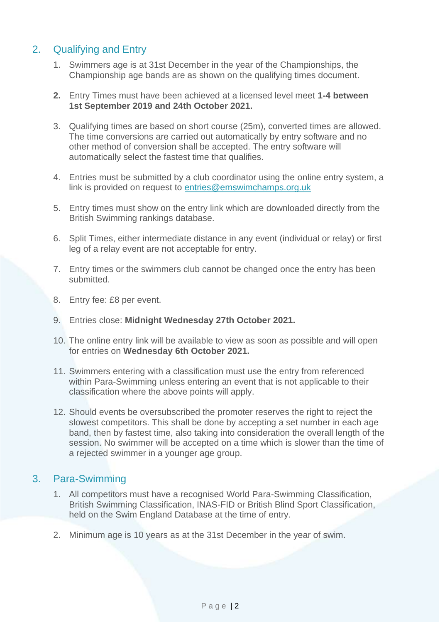# 2. Qualifying and Entry

- 1. Swimmers age is at 31st December in the year of the Championships, the Championship age bands are as shown on the qualifying times document.
- **2.** Entry Times must have been achieved at a licensed level meet **1-4 between 1st September 2019 and 24th October 2021.**
- 3. Qualifying times are based on short course (25m), converted times are allowed. The time conversions are carried out automatically by entry software and no other method of conversion shall be accepted. The entry software will automatically select the fastest time that qualifies.
- 4. Entries must be submitted by a club coordinator using the online entry system, a link is provided on request to [entries@emswimchamps.org.uk](mailto:entries@emswimchamps.org.uk)
- 5. Entry times must show on the entry link which are downloaded directly from the British Swimming rankings database.
- 6. Split Times, either intermediate distance in any event (individual or relay) or first leg of a relay event are not acceptable for entry.
- 7. Entry times or the swimmers club cannot be changed once the entry has been submitted.
- 8. Entry fee: £8 per event.
- 9. Entries close: **Midnight Wednesday 27th October 2021.**
- 10. The online entry link will be available to view as soon as possible and will open for entries on **Wednesday 6th October 2021.**
- 11. Swimmers entering with a classification must use the entry from referenced within Para-Swimming unless entering an event that is not applicable to their classification where the above points will apply.
- 12. Should events be oversubscribed the promoter reserves the right to reject the slowest competitors. This shall be done by accepting a set number in each age band, then by fastest time, also taking into consideration the overall length of the session. No swimmer will be accepted on a time which is slower than the time of a rejected swimmer in a younger age group.

## 3. Para-Swimming

- 1. All competitors must have a recognised World Para-Swimming Classification, British Swimming Classification, INAS-FID or British Blind Sport Classification, held on the Swim England Database at the time of entry.
- 2. Minimum age is 10 years as at the 31st December in the year of swim.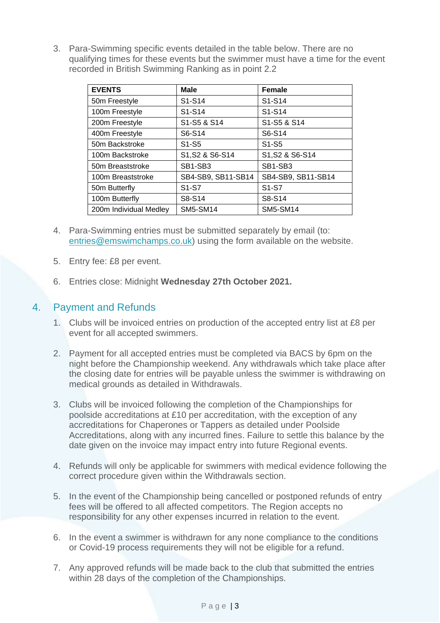3. Para-Swimming specific events detailed in the table below. There are no qualifying times for these events but the swimmer must have a time for the event recorded in British Swimming Ranking as in point 2.2

| <b>EVENTS</b>          | <b>Male</b>                      | <b>Female</b>                    |
|------------------------|----------------------------------|----------------------------------|
| 50m Freestyle          | S <sub>1</sub> -S <sub>14</sub>  | S <sub>1</sub> -S <sub>14</sub>  |
| 100m Freestyle         | S <sub>1</sub> -S <sub>14</sub>  | S <sub>1</sub> -S <sub>14</sub>  |
| 200m Freestyle         | S1-S5 & S14                      | S1-S5 & S14                      |
| 400m Freestyle         | S6-S14                           | S6-S14                           |
| 50m Backstroke         | S <sub>1</sub> -S <sub>5</sub>   | S <sub>1</sub> -S <sub>5</sub>   |
| 100m Backstroke        | S1, S2 & S6-S14                  | S1, S2 & S6-S14                  |
| 50m Breaststroke       | SB <sub>1</sub> -SB <sub>3</sub> | SB <sub>1</sub> -SB <sub>3</sub> |
| 100m Breaststroke      | SB4-SB9, SB11-SB14               | SB4-SB9, SB11-SB14               |
| 50m Butterfly          | S <sub>1</sub> -S <sub>7</sub>   | S <sub>1</sub> -S <sub>7</sub>   |
| 100m Butterfly         | S8-S14                           | S8-S14                           |
| 200m Individual Medley | <b>SM5-SM14</b>                  | <b>SM5-SM14</b>                  |

- 4. Para-Swimming entries must be submitted separately by email (to: [entries@emswimchamps.co.uk\)](mailto:entries@emswimchamps.co.uk) using the form available on the website.
- 5. Entry fee: £8 per event.
- 6. Entries close: Midnight **Wednesday 27th October 2021.**

#### 4. Payment and Refunds

- 1. Clubs will be invoiced entries on production of the accepted entry list at £8 per event for all accepted swimmers.
- 2. Payment for all accepted entries must be completed via BACS by 6pm on the night before the Championship weekend. Any withdrawals which take place after the closing date for entries will be payable unless the swimmer is withdrawing on medical grounds as detailed in Withdrawals.
- 3. Clubs will be invoiced following the completion of the Championships for poolside accreditations at £10 per accreditation, with the exception of any accreditations for Chaperones or Tappers as detailed under Poolside Accreditations, along with any incurred fines. Failure to settle this balance by the date given on the invoice may impact entry into future Regional events.
- 4. Refunds will only be applicable for swimmers with medical evidence following the correct procedure given within the Withdrawals section.
- 5. In the event of the Championship being cancelled or postponed refunds of entry fees will be offered to all affected competitors. The Region accepts no responsibility for any other expenses incurred in relation to the event.
- 6. In the event a swimmer is withdrawn for any none compliance to the conditions or Covid-19 process requirements they will not be eligible for a refund.
- 7. Any approved refunds will be made back to the club that submitted the entries within 28 days of the completion of the Championships.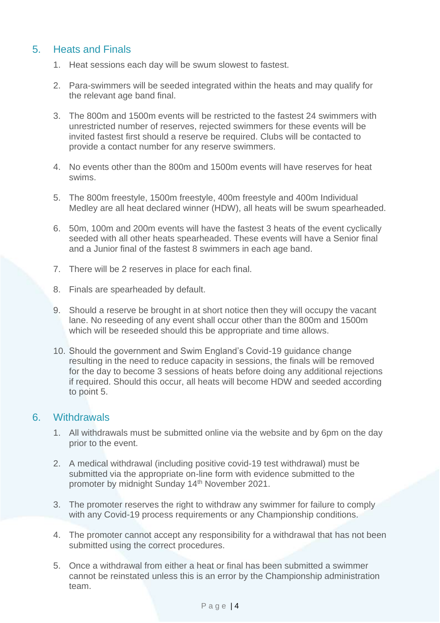## 5. Heats and Finals

- 1. Heat sessions each day will be swum slowest to fastest.
- 2. Para-swimmers will be seeded integrated within the heats and may qualify for the relevant age band final.
- 3. The 800m and 1500m events will be restricted to the fastest 24 swimmers with unrestricted number of reserves, rejected swimmers for these events will be invited fastest first should a reserve be required. Clubs will be contacted to provide a contact number for any reserve swimmers.
- 4. No events other than the 800m and 1500m events will have reserves for heat swims.
- 5. The 800m freestyle, 1500m freestyle, 400m freestyle and 400m Individual Medley are all heat declared winner (HDW), all heats will be swum spearheaded.
- 6. 50m, 100m and 200m events will have the fastest 3 heats of the event cyclically seeded with all other heats spearheaded. These events will have a Senior final and a Junior final of the fastest 8 swimmers in each age band.
- 7. There will be 2 reserves in place for each final.
- 8. Finals are spearheaded by default.
- 9. Should a reserve be brought in at short notice then they will occupy the vacant lane. No reseeding of any event shall occur other than the 800m and 1500m which will be reseeded should this be appropriate and time allows.
- 10. Should the government and Swim England's Covid-19 guidance change resulting in the need to reduce capacity in sessions, the finals will be removed for the day to become 3 sessions of heats before doing any additional rejections if required. Should this occur, all heats will become HDW and seeded according to point 5.

#### 6. Withdrawals

- 1. All withdrawals must be submitted online via the website and by 6pm on the day prior to the event.
- 2. A medical withdrawal (including positive covid-19 test withdrawal) must be submitted via the appropriate on-line form with evidence submitted to the promoter by midnight Sunday 14th November 2021.
- 3. The promoter reserves the right to withdraw any swimmer for failure to comply with any Covid-19 process requirements or any Championship conditions.
- 4. The promoter cannot accept any responsibility for a withdrawal that has not been submitted using the correct procedures.
- 5. Once a withdrawal from either a heat or final has been submitted a swimmer cannot be reinstated unless this is an error by the Championship administration team.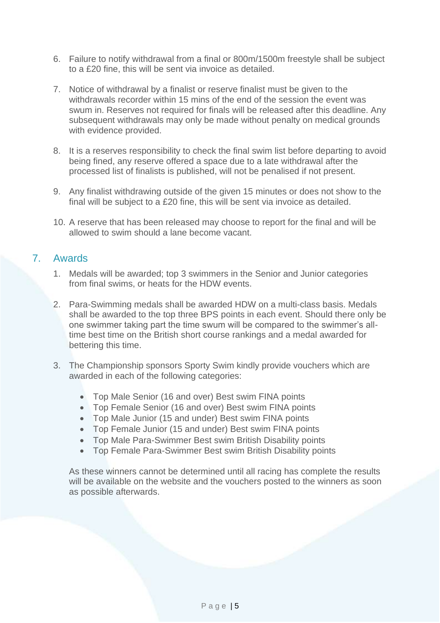- 6. Failure to notify withdrawal from a final or 800m/1500m freestyle shall be subject to a £20 fine, this will be sent via invoice as detailed.
- 7. Notice of withdrawal by a finalist or reserve finalist must be given to the withdrawals recorder within 15 mins of the end of the session the event was swum in. Reserves not required for finals will be released after this deadline. Any subsequent withdrawals may only be made without penalty on medical grounds with evidence provided.
- 8. It is a reserves responsibility to check the final swim list before departing to avoid being fined, any reserve offered a space due to a late withdrawal after the processed list of finalists is published, will not be penalised if not present.
- 9. Any finalist withdrawing outside of the given 15 minutes or does not show to the final will be subject to a £20 fine, this will be sent via invoice as detailed.
- 10. A reserve that has been released may choose to report for the final and will be allowed to swim should a lane become vacant.

#### 7. Awards

- 1. Medals will be awarded; top 3 swimmers in the Senior and Junior categories from final swims, or heats for the HDW events.
- 2. Para-Swimming medals shall be awarded HDW on a multi-class basis. Medals shall be awarded to the top three BPS points in each event. Should there only be one swimmer taking part the time swum will be compared to the swimmer's alltime best time on the British short course rankings and a medal awarded for bettering this time.
- 3. The Championship sponsors Sporty Swim kindly provide vouchers which are awarded in each of the following categories:
	- Top Male Senior (16 and over) Best swim FINA points
	- Top Female Senior (16 and over) Best swim FINA points
	- Top Male Junior (15 and under) Best swim FINA points
	- Top Female Junior (15 and under) Best swim FINA points
	- Top Male Para-Swimmer Best swim British Disability points
	- Top Female Para-Swimmer Best swim British Disability points

As these winners cannot be determined until all racing has complete the results will be available on the website and the vouchers posted to the winners as soon as possible afterwards.